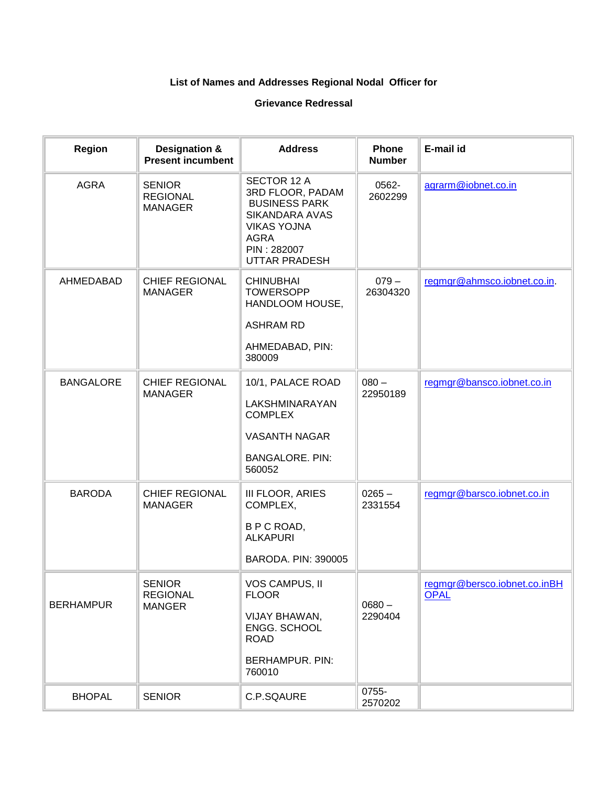## **List of Names and Addresses Regional Nodal Officer for**

## **Grievance Redressal**

| <b>Region</b>    | <b>Designation &amp;</b><br><b>Present incumbent</b> | <b>Address</b>                                                                                                                                               | <b>Phone</b><br><b>Number</b> | E-mail id                                   |
|------------------|------------------------------------------------------|--------------------------------------------------------------------------------------------------------------------------------------------------------------|-------------------------------|---------------------------------------------|
| <b>AGRA</b>      | <b>SENIOR</b><br><b>REGIONAL</b><br><b>MANAGER</b>   | SECTOR 12 A<br>3RD FLOOR, PADAM<br><b>BUSINESS PARK</b><br><b>SIKANDARA AVAS</b><br><b>VIKAS YOJNA</b><br><b>AGRA</b><br>PIN: 282007<br><b>UTTAR PRADESH</b> | 0562-<br>2602299              | agrarm@iobnet.co.in                         |
| <b>AHMEDABAD</b> | <b>CHIEF REGIONAL</b><br><b>MANAGER</b>              | <b>CHINUBHAI</b><br><b>TOWERSOPP</b><br>HANDLOOM HOUSE,<br><b>ASHRAM RD</b><br>AHMEDABAD, PIN:<br>380009                                                     | $079 -$<br>26304320           | regmgr@ahmsco.iobnet.co.in.                 |
| <b>BANGALORE</b> | <b>CHIEF REGIONAL</b><br><b>MANAGER</b>              | 10/1, PALACE ROAD<br>LAKSHMINARAYAN<br><b>COMPLEX</b><br><b>VASANTH NAGAR</b><br><b>BANGALORE. PIN:</b><br>560052                                            | $080 -$<br>22950189           | regmgr@bansco.iobnet.co.in                  |
| <b>BARODA</b>    | <b>CHIEF REGIONAL</b><br><b>MANAGER</b>              | III FLOOR, ARIES<br>COMPLEX,<br>B P C ROAD,<br><b>ALKAPURI</b><br>BARODA. PIN: 390005                                                                        | $0265 -$<br>2331554           | regmgr@barsco.iobnet.co.in                  |
| <b>BERHAMPUR</b> | <b>SENIOR</b><br><b>REGIONAL</b><br><b>MANGER</b>    | VOS CAMPUS, II<br><b>FLOOR</b><br>VIJAY BHAWAN,<br>ENGG. SCHOOL<br><b>ROAD</b><br><b>BERHAMPUR. PIN:</b><br>760010                                           | $0680 -$<br>2290404           | regmgr@bersco.iobnet.co.inBH<br><b>OPAL</b> |
| <b>BHOPAL</b>    | <b>SENIOR</b>                                        | C.P.SQAURE                                                                                                                                                   | 0755-<br>2570202              |                                             |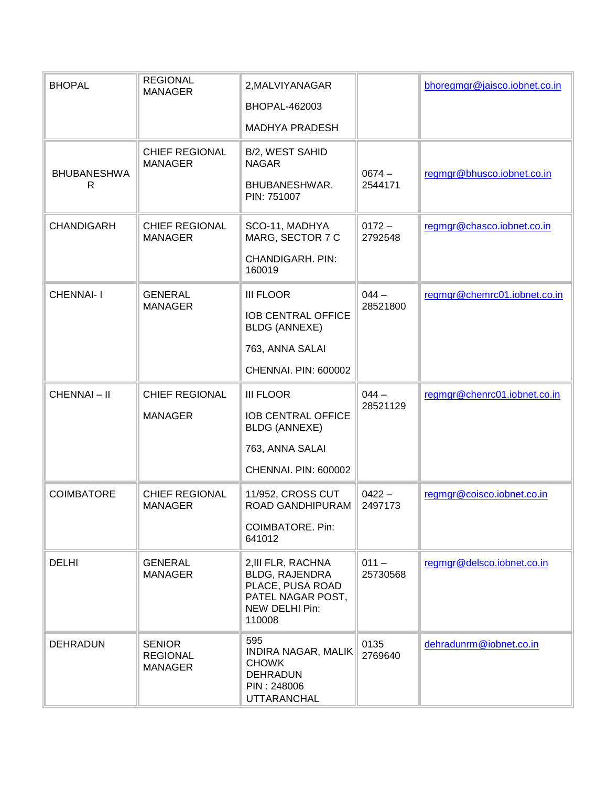| <b>BHOPAL</b>           | <b>REGIONAL</b><br><b>MANAGER</b>                  | 2, MALVIYANAGAR<br><b>BHOPAL-462003</b>                                                                          |                     | bhoregmgr@jaisco.iobnet.co.in |
|-------------------------|----------------------------------------------------|------------------------------------------------------------------------------------------------------------------|---------------------|-------------------------------|
| <b>BHUBANESHWA</b><br>R | <b>CHIEF REGIONAL</b><br><b>MANAGER</b>            | MADHYA PRADESH<br>B/2, WEST SAHID<br><b>NAGAR</b><br>BHUBANESHWAR.<br>PIN: 751007                                | $0674 -$<br>2544171 | regmgr@bhusco.iobnet.co.in    |
| <b>CHANDIGARH</b>       | <b>CHIEF REGIONAL</b><br><b>MANAGER</b>            | SCO-11, MADHYA<br>MARG, SECTOR 7 C<br><b>CHANDIGARH. PIN:</b><br>160019                                          | $0172 -$<br>2792548 | regmgr@chasco.iobnet.co.in    |
| <b>CHENNAI-I</b>        | <b>GENERAL</b><br><b>MANAGER</b>                   | <b>III FLOOR</b><br><b>IOB CENTRAL OFFICE</b><br><b>BLDG (ANNEXE)</b><br>763, ANNA SALAI<br>CHENNAI. PIN: 600002 | $044 -$<br>28521800 | regmgr@chemrc01.iobnet.co.in  |
| CHENNAI-II              | <b>CHIEF REGIONAL</b><br><b>MANAGER</b>            | <b>III FLOOR</b><br><b>IOB CENTRAL OFFICE</b><br><b>BLDG (ANNEXE)</b><br>763, ANNA SALAI<br>CHENNAI. PIN: 600002 | $044 -$<br>28521129 | regmgr@chenrc01.iobnet.co.in  |
| <b>COIMBATORE</b>       | <b>CHIEF REGIONAL</b><br><b>MANAGER</b>            | 11/952, CROSS CUT<br>ROAD GANDHIPURAM<br><b>COIMBATORE. Pin:</b><br>641012                                       | $0422 -$<br>2497173 | regmgr@coisco.iobnet.co.in    |
| <b>DELHI</b>            | <b>GENERAL</b><br><b>MANAGER</b>                   | 2, III FLR, RACHNA<br>BLDG, RAJENDRA<br>PLACE, PUSA ROAD<br>PATEL NAGAR POST,<br>NEW DELHI Pin:<br>110008        | $011 -$<br>25730568 | regmgr@delsco.iobnet.co.in    |
| <b>DEHRADUN</b>         | <b>SENIOR</b><br><b>REGIONAL</b><br><b>MANAGER</b> | 595<br><b>INDIRA NAGAR, MALIK</b><br><b>CHOWK</b><br><b>DEHRADUN</b><br>PIN: 248006<br><b>UTTARANCHAL</b>        | 0135<br>2769640     | dehradunrm@iobnet.co.in       |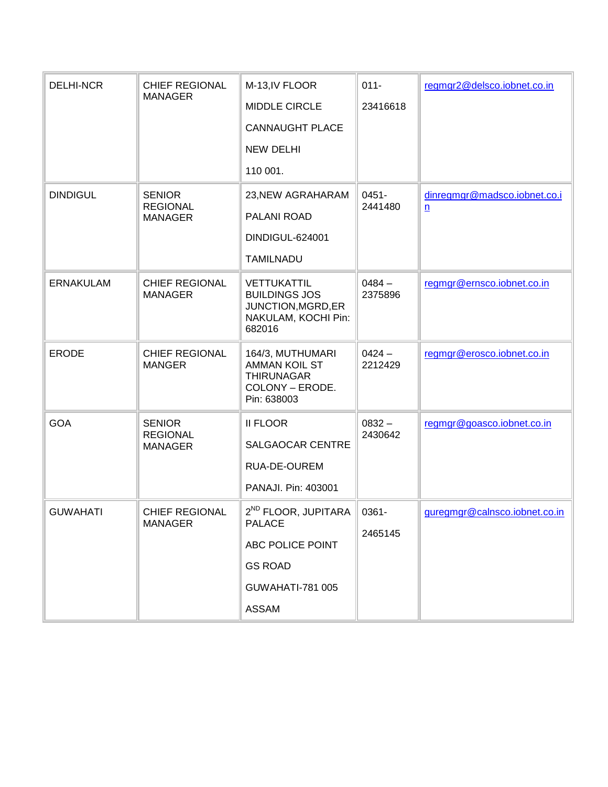| <b>DELHI-NCR</b> | <b>CHIEF REGIONAL</b>                   | M-13, IV FLOOR                                                                             | $011 -$<br>23416618 | regmgr2@delsco.iobnet.co.in   |
|------------------|-----------------------------------------|--------------------------------------------------------------------------------------------|---------------------|-------------------------------|
|                  | <b>MANAGER</b>                          | <b>MIDDLE CIRCLE</b>                                                                       |                     |                               |
|                  |                                         | <b>CANNAUGHT PLACE</b>                                                                     |                     |                               |
|                  |                                         | <b>NEW DELHI</b>                                                                           |                     |                               |
|                  |                                         | 110 001.                                                                                   |                     |                               |
| <b>DINDIGUL</b>  | <b>SENIOR</b>                           | 23, NEW AGRAHARAM                                                                          | $0451 -$            | dinregmgr@madsco.iobnet.co.i  |
|                  | <b>REGIONAL</b><br><b>MANAGER</b>       | PALANI ROAD                                                                                | 2441480             | n                             |
|                  |                                         | DINDIGUL-624001                                                                            |                     |                               |
|                  |                                         | <b>TAMILNADU</b>                                                                           |                     |                               |
| <b>ERNAKULAM</b> | <b>CHIEF REGIONAL</b><br><b>MANAGER</b> | VETTUKATTIL<br><b>BUILDINGS JOS</b><br>JUNCTION, MGRD, ER<br>NAKULAM, KOCHI Pin:<br>682016 | $0484 -$<br>2375896 | regmgr@ernsco.iobnet.co.in    |
| <b>ERODE</b>     | <b>CHIEF REGIONAL</b><br><b>MANGER</b>  | 164/3, MUTHUMARI<br>AMMAN KOIL ST<br><b>THIRUNAGAR</b><br>COLONY - ERODE.<br>Pin: 638003   | $0424 -$<br>2212429 | regmgr@erosco.iobnet.co.in    |
| <b>GOA</b>       | <b>SENIOR</b><br><b>REGIONAL</b>        | <b>II FLOOR</b>                                                                            | $0832 -$<br>2430642 | regmgr@goasco.iobnet.co.in    |
|                  | <b>MANAGER</b>                          | SALGAOCAR CENTRE                                                                           |                     |                               |
|                  |                                         | RUA-DE-OUREM                                                                               |                     |                               |
|                  |                                         | PANAJI. Pin: 403001                                                                        |                     |                               |
| <b>GUWAHATI</b>  | <b>CHIEF REGIONAL</b><br><b>MANAGER</b> | 2 <sup>ND</sup> FLOOR, JUPITARA<br><b>PALACE</b>                                           | 0361-<br>2465145    | guregmgr@calnsco.iobnet.co.in |
|                  |                                         | ABC POLICE POINT                                                                           |                     |                               |
|                  |                                         | <b>GS ROAD</b>                                                                             |                     |                               |
|                  |                                         | <b>GUWAHATI-781 005</b>                                                                    |                     |                               |
|                  |                                         | <b>ASSAM</b>                                                                               |                     |                               |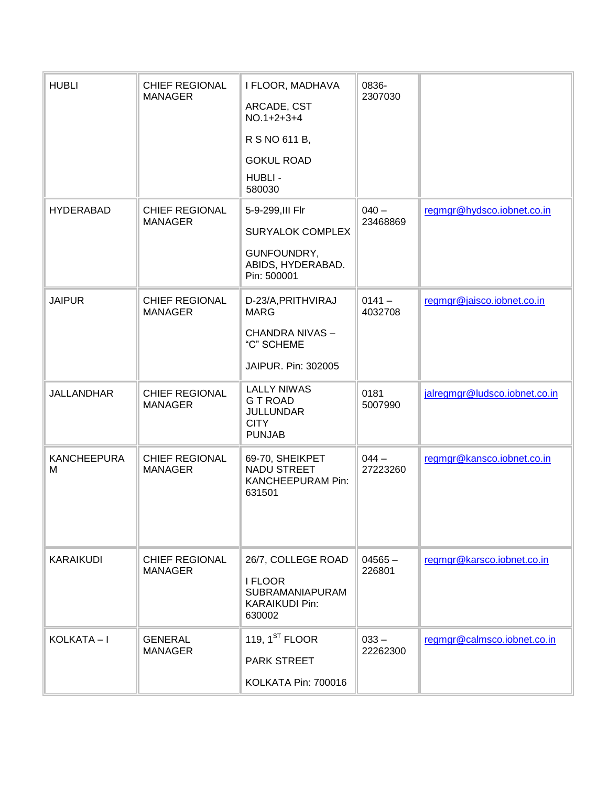| <b>HUBLI</b>            | <b>CHIEF REGIONAL</b><br><b>MANAGER</b> | I FLOOR, MADHAVA<br>ARCADE, CST<br>$NO.1+2+3+4$<br>R S NO 611 B,<br><b>GOKUL ROAD</b><br>HUBLI -<br>580030 | 0836-<br>2307030    |                               |
|-------------------------|-----------------------------------------|------------------------------------------------------------------------------------------------------------|---------------------|-------------------------------|
| <b>HYDERABAD</b>        | <b>CHIEF REGIONAL</b><br><b>MANAGER</b> | 5-9-299, III Flr<br><b>SURYALOK COMPLEX</b><br>GUNFOUNDRY,<br>ABIDS, HYDERABAD.<br>Pin: 500001             | $040 -$<br>23468869 | regmgr@hydsco.iobnet.co.in    |
| <b>JAIPUR</b>           | <b>CHIEF REGIONAL</b><br><b>MANAGER</b> | D-23/A, PRITHVIRAJ<br><b>MARG</b><br>CHANDRA NIVAS-<br>"C" SCHEME<br>JAIPUR. Pin: 302005                   | $0141 -$<br>4032708 | regmgr@jaisco.iobnet.co.in    |
| <b>JALLANDHAR</b>       | <b>CHIEF REGIONAL</b><br><b>MANAGER</b> | <b>LALLY NIWAS</b><br><b>GT ROAD</b><br><b>JULLUNDAR</b><br><b>CITY</b><br><b>PUNJAB</b>                   | 0181<br>5007990     | jalregmgr@ludsco.iobnet.co.in |
| <b>KANCHEEPURA</b><br>M | <b>CHIEF REGIONAL</b><br><b>MANAGER</b> | 69-70, SHEIKPET<br>NADU STREET<br><b>KANCHEEPURAM Pin:</b><br>631501                                       | $044 -$<br>27223260 | regmgr@kansco.iobnet.co.in    |
| <b>KARAIKUDI</b>        | <b>CHIEF REGIONAL</b><br><b>MANAGER</b> | 26/7, COLLEGE ROAD<br>I FLOOR<br><b>SUBRAMANIAPURAM</b><br><b>KARAIKUDI Pin:</b><br>630002                 | $04565 -$<br>226801 | regmgr@karsco.iobnet.co.in    |
| KOLKATA-I               | <b>GENERAL</b><br><b>MANAGER</b>        | 119, $1ST$ FLOOR<br>PARK STREET<br>KOLKATA Pin: 700016                                                     | $033 -$<br>22262300 | regmgr@calmsco.iobnet.co.in   |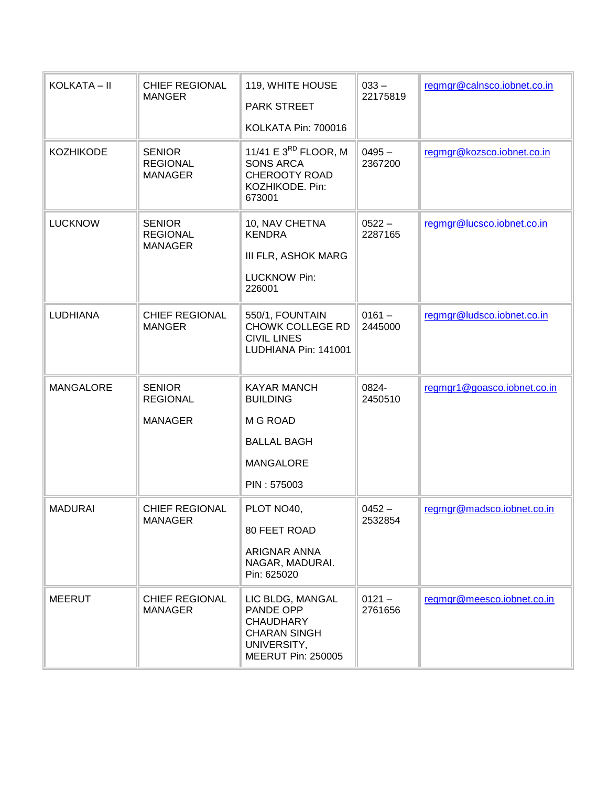| KOLKATA – II     | <b>CHIEF REGIONAL</b><br><b>MANGER</b>             | 119, WHITE HOUSE<br><b>PARK STREET</b><br>KOLKATA Pin: 700016                                                        | $033 -$<br>22175819 | regmgr@calnsco.iobnet.co.in |
|------------------|----------------------------------------------------|----------------------------------------------------------------------------------------------------------------------|---------------------|-----------------------------|
| <b>KOZHIKODE</b> | <b>SENIOR</b><br><b>REGIONAL</b><br><b>MANAGER</b> | 11/41 E $3^{RD}$ FLOOR, M<br><b>SONS ARCA</b><br><b>CHEROOTY ROAD</b><br>KOZHIKODE. Pin:<br>673001                   | $0495 -$<br>2367200 | regmgr@kozsco.iobnet.co.in  |
| <b>LUCKNOW</b>   | <b>SENIOR</b><br><b>REGIONAL</b><br><b>MANAGER</b> | 10, NAV CHETNA<br><b>KENDRA</b><br>III FLR, ASHOK MARG<br><b>LUCKNOW Pin:</b><br>226001                              | $0522 -$<br>2287165 | regmgr@lucsco.iobnet.co.in  |
| <b>LUDHIANA</b>  | <b>CHIEF REGIONAL</b><br><b>MANGER</b>             | 550/1, FOUNTAIN<br><b>CHOWK COLLEGE RD</b><br><b>CIVIL LINES</b><br>LUDHIANA Pin: 141001                             | $0161 -$<br>2445000 | regmgr@ludsco.iobnet.co.in  |
| <b>MANGALORE</b> | <b>SENIOR</b><br><b>REGIONAL</b><br><b>MANAGER</b> | <b>KAYAR MANCH</b><br><b>BUILDING</b><br>M G ROAD<br><b>BALLAL BAGH</b><br><b>MANGALORE</b><br>PIN: 575003           | 0824-<br>2450510    | regmgr1@goasco.iobnet.co.in |
| <b>MADURAI</b>   | <b>CHIEF REGIONAL</b><br><b>MANAGER</b>            | PLOT NO40,<br>80 FEET ROAD<br>ARIGNAR ANNA<br>NAGAR, MADURAI.<br>Pin: 625020                                         | $0452 -$<br>2532854 | regmgr@madsco.iobnet.co.in  |
| <b>MEERUT</b>    | <b>CHIEF REGIONAL</b><br><b>MANAGER</b>            | LIC BLDG, MANGAL<br>PANDE OPP<br><b>CHAUDHARY</b><br><b>CHARAN SINGH</b><br>UNIVERSITY,<br><b>MEERUT Pin: 250005</b> | $0121 -$<br>2761656 | regmgr@meesco.iobnet.co.in  |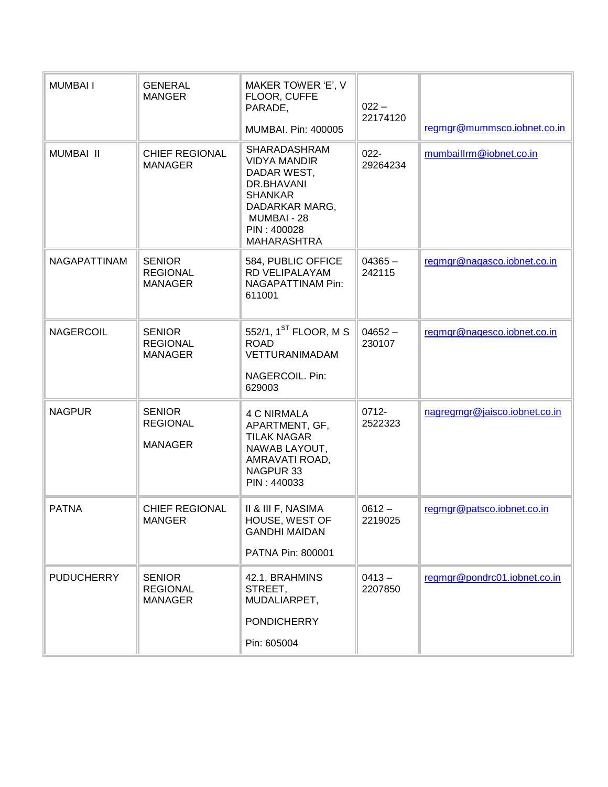| <b>MUMBAI I</b>   | <b>GENERAL</b><br><b>MANGER</b>                    | MAKER TOWER 'E', V<br>FLOOR, CUFFE<br>PARADE,                                                                                                            | $022 -$<br>22174120 |                               |
|-------------------|----------------------------------------------------|----------------------------------------------------------------------------------------------------------------------------------------------------------|---------------------|-------------------------------|
|                   |                                                    | MUMBAI. Pin: 400005                                                                                                                                      |                     | regmgr@mummsco.iobnet.co.in   |
| <b>MUMBAI II</b>  | <b>CHIEF REGIONAL</b><br><b>MANAGER</b>            | SHARADASHRAM<br><b>VIDYA MANDIR</b><br>DADAR WEST,<br>DR.BHAVANI<br><b>SHANKAR</b><br>DADARKAR MARG,<br>MUMBAI - 28<br>PIN: 400028<br><b>MAHARASHTRA</b> | $022 -$<br>29264234 | mumbaillrm@iobnet.co.in       |
| NAGAPATTINAM      | <b>SENIOR</b><br><b>REGIONAL</b><br><b>MANAGER</b> | 584, PUBLIC OFFICE<br>RD VELIPALAYAM<br>NAGAPATTINAM Pin:<br>611001                                                                                      | $04365 -$<br>242115 | regmgr@nagasco.iobnet.co.in   |
| <b>NAGERCOIL</b>  | <b>SENIOR</b><br><b>REGIONAL</b><br><b>MANAGER</b> | 552/1, 1 <sup>ST</sup> FLOOR, M S<br><b>ROAD</b><br><b>VETTURANIMADAM</b><br>NAGERCOIL. Pin:<br>629003                                                   | $04652 -$<br>230107 | regmgr@nagesco.iobnet.co.in   |
| <b>NAGPUR</b>     | <b>SENIOR</b><br><b>REGIONAL</b><br><b>MANAGER</b> | <b>4 C NIRMALA</b><br>APARTMENT, GF,<br><b>TILAK NAGAR</b><br>NAWAB LAYOUT,<br>AMRAVATI ROAD,<br>NAGPUR 33<br>PIN: 440033                                | 0712-<br>2522323    | nagregmgr@jaisco.iobnet.co.in |
| <b>PATNA</b>      | <b>CHIEF REGIONAL</b><br>MANGER                    | II & III F, NASIMA<br>HOUSE, WEST OF<br><b>GANDHI MAIDAN</b><br>PATNA Pin: 800001                                                                        | $0612 -$<br>2219025 | regmgr@patsco.iobnet.co.in    |
| <b>PUDUCHERRY</b> | <b>SENIOR</b><br><b>REGIONAL</b><br><b>MANAGER</b> | 42.1, BRAHMINS<br>STREET,<br>MUDALIARPET,<br><b>PONDICHERRY</b><br>Pin: 605004                                                                           | $0413 -$<br>2207850 | regmgr@pondrc01.iobnet.co.in  |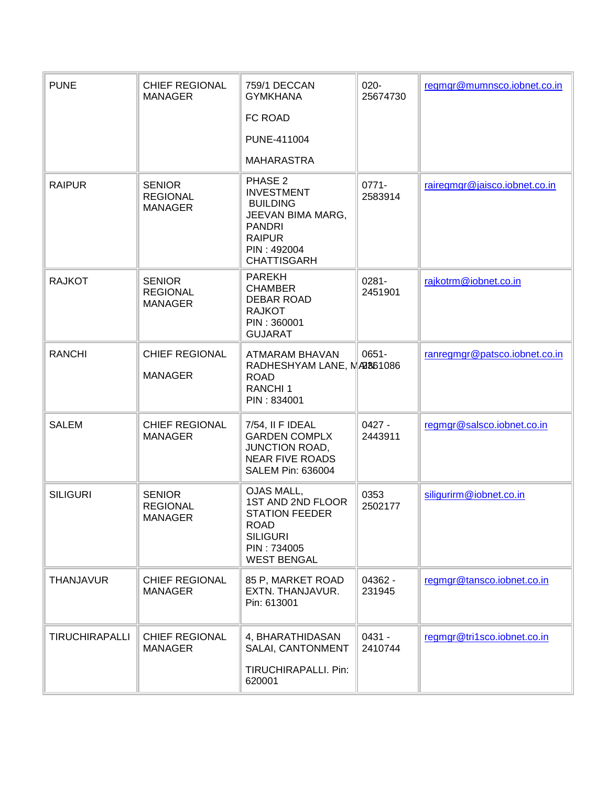| <b>PUNE</b>           | <b>CHIEF REGIONAL</b><br><b>MANAGER</b>            | 759/1 DECCAN<br><b>GYMKHANA</b>                                                                                                             | $020 -$<br>25674730 | regmgr@mumnsco.iobnet.co.in   |
|-----------------------|----------------------------------------------------|---------------------------------------------------------------------------------------------------------------------------------------------|---------------------|-------------------------------|
|                       |                                                    | FC ROAD                                                                                                                                     |                     |                               |
|                       |                                                    | PUNE-411004                                                                                                                                 |                     |                               |
|                       |                                                    | <b>MAHARASTRA</b>                                                                                                                           |                     |                               |
| <b>RAIPUR</b>         | <b>SENIOR</b><br><b>REGIONAL</b><br><b>MANAGER</b> | PHASE 2<br><b>INVESTMENT</b><br><b>BUILDING</b><br>JEEVAN BIMA MARG,<br><b>PANDRI</b><br><b>RAIPUR</b><br>PIN: 492004<br><b>CHATTISGARH</b> | $0771 -$<br>2583914 | rairegmgr@jaisco.iobnet.co.in |
| <b>RAJKOT</b>         | <b>SENIOR</b><br><b>REGIONAL</b><br><b>MANAGER</b> | <b>PAREKH</b><br><b>CHAMBER</b><br><b>DEBAR ROAD</b><br><b>RAJKOT</b><br>PIN: 360001<br><b>GUJARAT</b>                                      | $0281 -$<br>2451901 | rajkotrm@iobnet.co.in         |
| <b>RANCHI</b>         | <b>CHIEF REGIONAL</b><br><b>MANAGER</b>            | ATMARAM BHAVAN<br>RADHESHYAM LANE, MARS61086<br><b>ROAD</b><br>RANCHI <sub>1</sub><br>PIN: 834001                                           | 0651-               | ranregmgr@patsco.iobnet.co.in |
| <b>SALEM</b>          | <b>CHIEF REGIONAL</b><br><b>MANAGER</b>            | 7/54, II F IDEAL<br><b>GARDEN COMPLX</b><br><b>JUNCTION ROAD,</b><br><b>NEAR FIVE ROADS</b><br>SALEM Pin: 636004                            | $0427 -$<br>2443911 | regmgr@salsco.iobnet.co.in    |
| <b>SILIGURI</b>       | <b>SENIOR</b><br><b>REGIONAL</b><br><b>MANAGER</b> | OJAS MALL,<br>1ST AND 2ND FLOOR<br><b>STATION FEEDER</b><br><b>ROAD</b><br><b>SILIGURI</b><br>PIN: 734005<br><b>WEST BENGAL</b>             | 0353<br>2502177     | siligurirm@iobnet.co.in       |
| <b>THANJAVUR</b>      | <b>CHIEF REGIONAL</b><br><b>MANAGER</b>            | 85 P, MARKET ROAD<br>EXTN. THANJAVUR.<br>Pin: 613001                                                                                        | 04362 -<br>231945   | regmgr@tansco.iobnet.co.in    |
| <b>TIRUCHIRAPALLI</b> | <b>CHIEF REGIONAL</b><br><b>MANAGER</b>            | 4, BHARATHIDASAN<br>SALAI, CANTONMENT<br>TIRUCHIRAPALLI. Pin:<br>620001                                                                     | $0431 -$<br>2410744 | regmgr@tri1sco.iobnet.co.in   |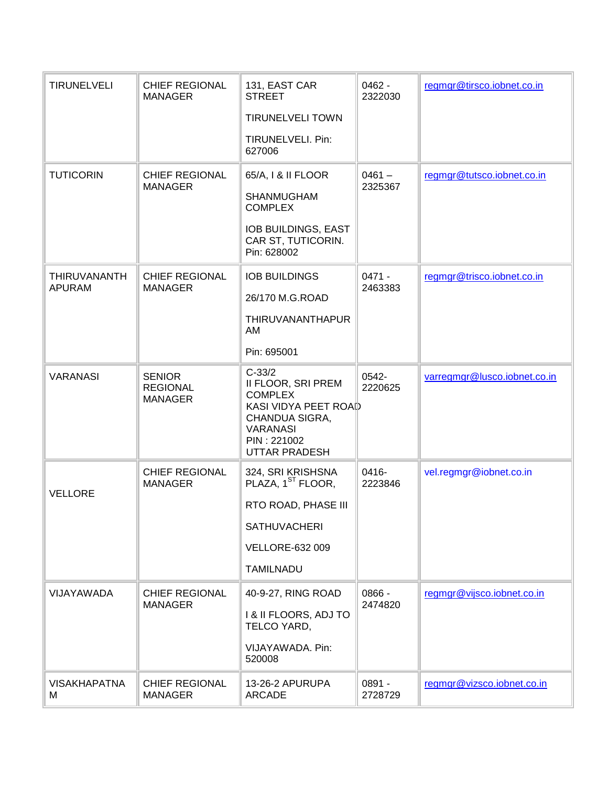| <b>TIRUNELVELI</b>       | <b>CHIEF REGIONAL</b><br><b>MANAGER</b>            | 131, EAST CAR<br><b>STREET</b>                                                                                                                              | $0462 -$<br>2322030 | regmgr@tirsco.iobnet.co.in   |
|--------------------------|----------------------------------------------------|-------------------------------------------------------------------------------------------------------------------------------------------------------------|---------------------|------------------------------|
|                          |                                                    | <b>TIRUNELVELI TOWN</b>                                                                                                                                     |                     |                              |
|                          |                                                    | TIRUNELVELI. Pin:<br>627006                                                                                                                                 |                     |                              |
| <b>TUTICORIN</b>         | <b>CHIEF REGIONAL</b>                              | 65/A, I & II FLOOR                                                                                                                                          | $0461 -$<br>2325367 | regmgr@tutsco.iobnet.co.in   |
|                          | <b>MANAGER</b>                                     | <b>SHANMUGHAM</b><br><b>COMPLEX</b>                                                                                                                         |                     |                              |
|                          |                                                    | IOB BUILDINGS, EAST<br>CAR ST, TUTICORIN.<br>Pin: 628002                                                                                                    |                     |                              |
| <b>THIRUVANANTH</b>      | <b>CHIEF REGIONAL</b>                              | <b>IOB BUILDINGS</b>                                                                                                                                        | $0471 -$            | regmgr@trisco.iobnet.co.in   |
| <b>APURAM</b>            | <b>MANAGER</b>                                     | 26/170 M.G.ROAD                                                                                                                                             | 2463383             |                              |
|                          |                                                    | THIRUVANANTHAPUR<br>AM                                                                                                                                      |                     |                              |
|                          |                                                    | Pin: 695001                                                                                                                                                 |                     |                              |
| <b>VARANASI</b>          | <b>SENIOR</b><br><b>REGIONAL</b><br><b>MANAGER</b> | $C-33/2$<br>II FLOOR, SRI PREM<br><b>COMPLEX</b><br><b>KASI VIDYA PEET ROAD</b><br>CHANDUA SIGRA,<br><b>VARANASI</b><br>PIN: 221002<br><b>UTTAR PRADESH</b> | 0542-<br>2220625    | varregmgr@lusco.iobnet.co.in |
| <b>VELLORE</b>           | <b>CHIEF REGIONAL</b><br><b>MANAGER</b>            | 324, SRI KRISHSNA<br>PLAZA, 1 <sup>ST</sup> FLOOR,                                                                                                          | 0416-<br>2223846    | vel.regmgr@iobnet.co.in      |
|                          |                                                    | RTO ROAD, PHASE III                                                                                                                                         |                     |                              |
|                          |                                                    | <b>SATHUVACHERI</b>                                                                                                                                         |                     |                              |
|                          |                                                    | <b>VELLORE-632 009</b>                                                                                                                                      |                     |                              |
|                          |                                                    | <b>TAMILNADU</b>                                                                                                                                            |                     |                              |
| VIJAYAWADA               | <b>CHIEF REGIONAL</b>                              | 40-9-27, RING ROAD                                                                                                                                          | 0866 -              | regmgr@vijsco.iobnet.co.in   |
|                          | <b>MANAGER</b>                                     | I & II FLOORS, ADJ TO<br>TELCO YARD,                                                                                                                        | 2474820             |                              |
|                          |                                                    | VIJAYAWADA. Pin:<br>520008                                                                                                                                  |                     |                              |
| <b>VISAKHAPATNA</b><br>м | <b>CHIEF REGIONAL</b><br><b>MANAGER</b>            | 13-26-2 APURUPA<br><b>ARCADE</b>                                                                                                                            | 0891 -<br>2728729   | regmgr@vizsco.iobnet.co.in   |